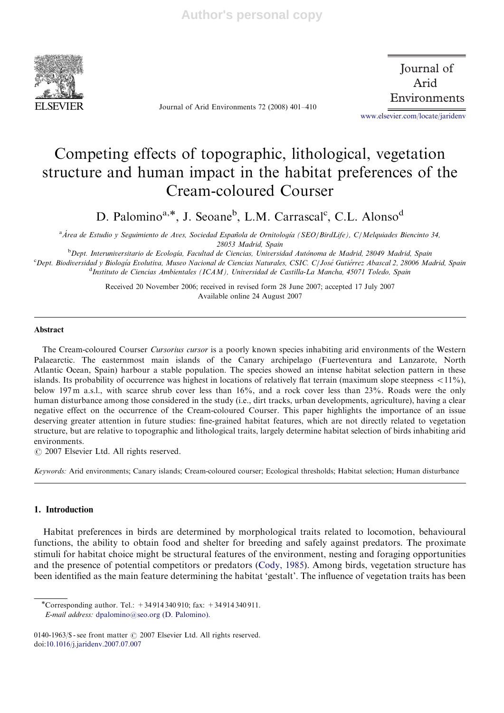

Journal of Arid Environments 72 (2008) 401–410

 Journal of Arid Environments

www.elsevier.com/locate/jaridenv

# Competing effects of topographic, lithological, vegetation structure and human impact in the habitat preferences of the Cream-coloured Courser

D. Palomino<sup>a,\*</sup>, J. Seoane<sup>b</sup>, L.M. Carrascal<sup>c</sup>, C.L. Alonso<sup>d</sup>

<sup>a</sup>Área de Estudio y Seguimiento de Aves, Sociedad Española de Ornitología (SEO/BirdLife), C/Melquiades Biencinto 34, 28053 Madrid, Spain

<sup>b</sup>Dept. Interuniversitario de Ecología, Facultad de Ciencias, Universidad Autónoma de Madrid, 28049 Madrid, Spain c<br><sup>c</sup>Dept. Biodiversidad y Biología Evolutiva, Museo Nacional de Ciencias Naturales, CSIC. C/José Gutiérrez Abascal 2, 28006 Madrid, Spain <sup>d</sup>Instituto de Ciencias Ambientales (ICAM), Universidad de Castilla-La Mancha, 45071 Toledo, Spain

> Received 20 November 2006; received in revised form 28 June 2007; accepted 17 July 2007 Available online 24 August 2007

# Abstract

The Cream-coloured Courser Cursorius cursor is a poorly known species inhabiting arid environments of the Western Palaearctic. The easternmost main islands of the Canary archipelago (Fuerteventura and Lanzarote, North Atlantic Ocean, Spain) harbour a stable population. The species showed an intense habitat selection pattern in these islands. Its probability of occurrence was highest in locations of relatively flat terrain (maximum slope steepness  $\langle 11\% \rangle$ ). below 197 m a.s.l., with scarce shrub cover less than 16%, and a rock cover less than 23%. Roads were the only human disturbance among those considered in the study (i.e., dirt tracks, urban developments, agriculture), having a clear negative effect on the occurrence of the Cream-coloured Courser. This paper highlights the importance of an issue deserving greater attention in future studies: fine-grained habitat features, which are not directly related to vegetation structure, but are relative to topographic and lithological traits, largely determine habitat selection of birds inhabiting arid environments.

 $C$  2007 Elsevier Ltd. All rights reserved.

Keywords: Arid environments; Canary islands; Cream-coloured courser; Ecological thresholds; Habitat selection; Human disturbance

# 1. Introduction

Habitat preferences in birds are determined by morphological traits related to locomotion, behavioural functions, the ability to obtain food and shelter for breeding and safely against predators. The proximate stimuli for habitat choice might be structural features of the environment, nesting and foraging opportunities and the presence of potential competitors or predators (Cody, 1985). Among birds, vegetation structure has been identified as the main feature determining the habitat 'gestalt'. The influence of vegetation traits has been

<sup>-</sup>Corresponding author. Tel.: +34 914 340 910; fax: +34 914 340 911. E-mail address: dpalomino@seo.org (D. Palomino).

<sup>0140-1963/\$ -</sup> see front matter  $\odot$  2007 Elsevier Ltd. All rights reserved. doi:10.1016/j.jaridenv.2007.07.007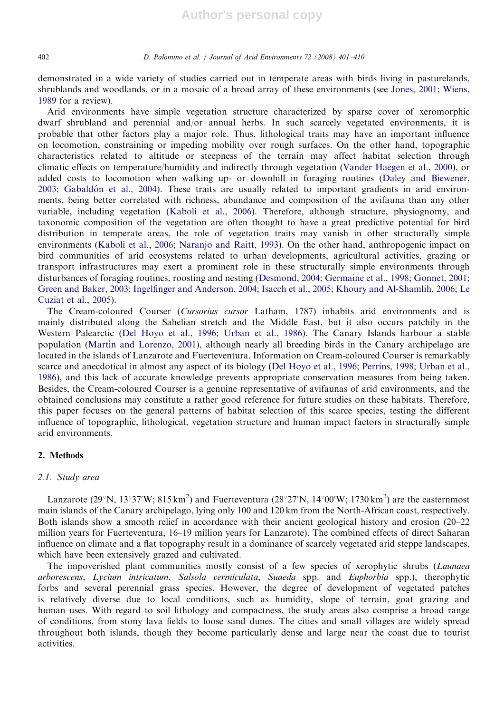demonstrated in a wide variety of studies carried out in temperate areas with birds living in pasturelands, shrublands and woodlands, or in a mosaic of a broad array of these environments (see Jones, 2001; Wiens, 1989 for a review).

Arid environments have simple vegetation structure characterized by sparse cover of xeromorphic dwarf shrubland and perennial and/or annual herbs. In such scarcely vegetated environments, it is probable that other factors play a major role. Thus, lithological traits may have an important influence on locomotion, constraining or impeding mobility over rough surfaces. On the other hand, topographic characteristics related to altitude or steepness of the terrain may affect habitat selection through climatic effects on temperature/humidity and indirectly through vegetation (Vander Haegen et al., 2000), or added costs to locomotion when walking up- or downhill in foraging routines (Daley and Biewener, 2003; Gabaldón et al., 2004). These traits are usually related to important gradients in arid environments, being better correlated with richness, abundance and composition of the avifauna than any other variable, including vegetation (Kaboli et al., 2006). Therefore, although structure, physiognomy, and taxonomic composition of the vegetation are often thought to have a great predictive potential for bird distribution in temperate areas, the role of vegetation traits may vanish in other structurally simple environments (Kaboli et al., 2006; Naranjo and Raitt, 1993). On the other hand, anthropogenic impact on bird communities of arid ecosystems related to urban developments, agricultural activities, grazing or transport infrastructures may exert a prominent role in these structurally simple environments through disturbances of foraging routines, roosting and nesting (Desmond, 2004; Germaine et al., 1998; Gonnet, 2001; Green and Baker, 2003; Ingelfinger and Anderson, 2004; Isacch et al., 2005; Khoury and Al-Shamlih, 2006; Le Cuziat et al., 2005).

The Cream-coloured Courser (Cursorius cursor Latham, 1787) inhabits arid environments and is mainly distributed along the Sahelian stretch and the Middle East, but it also occurs patchily in the Western Palearctic (Del Hoyo et al., 1996; Urban et al., 1986). The Canary Islands harbour a stable population (Martín and Lorenzo, 2001), although nearly all breeding birds in the Canary archipelago are located in the islands of Lanzarote and Fuerteventura. Information on Cream-coloured Courser is remarkably scarce and anecdotical in almost any aspect of its biology (Del Hoyo et al., 1996; Perrins, 1998; Urban et al., 1986), and this lack of accurate knowledge prevents appropriate conservation measures from being taken. Besides, the Cream-coloured Courser is a genuine representative of avifaunas of arid environments, and the obtained conclusions may constitute a rather good reference for future studies on these habitats. Therefore, this paper focuses on the general patterns of habitat selection of this scarce species, testing the different influence of topographic, lithological, vegetation structure and human impact factors in structurally simple arid environments.

# 2. Methods

## 2.1. Study area

Lanzarote (29°N, 13°37′W; 815 km<sup>2</sup>) and Fuerteventura (28°27′N, 14°00′W; 1730 km<sup>2</sup>) are the easternmost main islands of the Canary archipelago, lying only 100 and 120 km from the North-African coast, respectively. Both islands show a smooth relief in accordance with their ancient geological history and erosion (20–22 million years for Fuerteventura, 16–19 million years for Lanzarote). The combined effects of direct Saharan influence on climate and a flat topography result in a dominance of scarcely vegetated arid steppe landscapes, which have been extensively grazed and cultivated.

The impoverished plant communities mostly consist of a few species of xerophytic shrubs (*Launaea* arborescens, Lycium intricatum, Salsola vermiculata, Suaeda spp. and Euphorbia spp.), therophytic forbs and several perennial grass species. However, the degree of development of vegetated patches is relatively diverse due to local conditions, such as humidity, slope of terrain, goat grazing and human uses. With regard to soil lithology and compactness, the study areas also comprise a broad range of conditions, from stony lava fields to loose sand dunes. The cities and small villages are widely spread throughout both islands, though they become particularly dense and large near the coast due to tourist activities.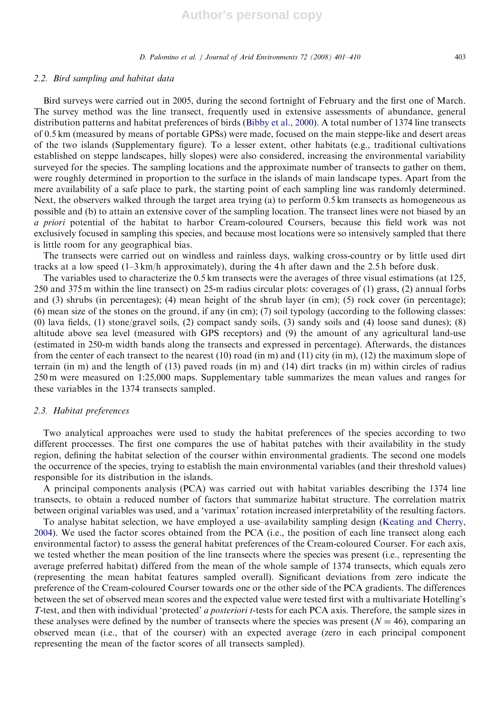#### 2.2. Bird sampling and habitat data

Bird surveys were carried out in 2005, during the second fortnight of February and the first one of March. The survey method was the line transect, frequently used in extensive assessments of abundance, general distribution patterns and habitat preferences of birds (Bibby et al., 2000). A total number of 1374 line transects of 0.5 km (measured by means of portable GPSs) were made, focused on the main steppe-like and desert areas of the two islands (Supplementary figure). To a lesser extent, other habitats (e.g., traditional cultivations established on steppe landscapes, hilly slopes) were also considered, increasing the environmental variability surveyed for the species. The sampling locations and the approximate number of transects to gather on them, were roughly determined in proportion to the surface in the islands of main landscape types. Apart from the mere availability of a safe place to park, the starting point of each sampling line was randomly determined. Next, the observers walked through the target area trying (a) to perform 0.5 km transects as homogeneous as possible and (b) to attain an extensive cover of the sampling location. The transect lines were not biased by an a priori potential of the habitat to harbor Cream-coloured Coursers, because this field work was not exclusively focused in sampling this species, and because most locations were so intensively sampled that there is little room for any geographical bias.

The transects were carried out on windless and rainless days, walking cross-country or by little used dirt tracks at a low speed (1–3 km/h approximately), during the 4 h after dawn and the 2.5 h before dusk.

The variables used to characterize the 0.5 km transects were the averages of three visual estimations (at 125, 250 and 375 m within the line transect) on 25-m radius circular plots: coverages of (1) grass, (2) annual forbs and (3) shrubs (in percentages); (4) mean height of the shrub layer (in cm); (5) rock cover (in percentage); (6) mean size of the stones on the ground, if any (in cm); (7) soil typology (according to the following classes: (0) lava fields, (1) stone/gravel soils, (2) compact sandy soils, (3) sandy soils and (4) loose sand dunes); (8) altitude above sea level (measured with GPS receptors) and (9) the amount of any agricultural land-use (estimated in 250-m width bands along the transects and expressed in percentage). Afterwards, the distances from the center of each transect to the nearest  $(10)$  road  $(in m)$  and  $(11)$  city  $(in m)$ ,  $(12)$  the maximum slope of terrain (in m) and the length of (13) paved roads (in m) and (14) dirt tracks (in m) within circles of radius 250 m were measured on 1:25,000 maps. Supplementary table summarizes the mean values and ranges for these variables in the 1374 transects sampled.

## 2.3. Habitat preferences

Two analytical approaches were used to study the habitat preferences of the species according to two different proccesses. The first one compares the use of habitat patches with their availability in the study region, defining the habitat selection of the courser within environmental gradients. The second one models the occurrence of the species, trying to establish the main environmental variables (and their threshold values) responsible for its distribution in the islands.

A principal components analysis (PCA) was carried out with habitat variables describing the 1374 line transects, to obtain a reduced number of factors that summarize habitat structure. The correlation matrix between original variables was used, and a 'varimax' rotation increased interpretability of the resulting factors.

To analyse habitat selection, we have employed a use–availability sampling design (Keating and Cherry, 2004). We used the factor scores obtained from the PCA (i.e., the position of each line transect along each environmental factor) to assess the general habitat preferences of the Cream-coloured Courser. For each axis, we tested whether the mean position of the line transects where the species was present (i.e., representing the average preferred habitat) differed from the mean of the whole sample of 1374 transects, which equals zero (representing the mean habitat features sampled overall). Significant deviations from zero indicate the preference of the Cream-coloured Courser towards one or the other side of the PCA gradients. The differences between the set of observed mean scores and the expected value were tested first with a multivariate Hotelling's T-test, and then with individual 'protected' a posteriori t-tests for each PCA axis. Therefore, the sample sizes in these analyses were defined by the number of transects where the species was present ( $N = 46$ ), comparing an observed mean (i.e., that of the courser) with an expected average (zero in each principal component representing the mean of the factor scores of all transects sampled).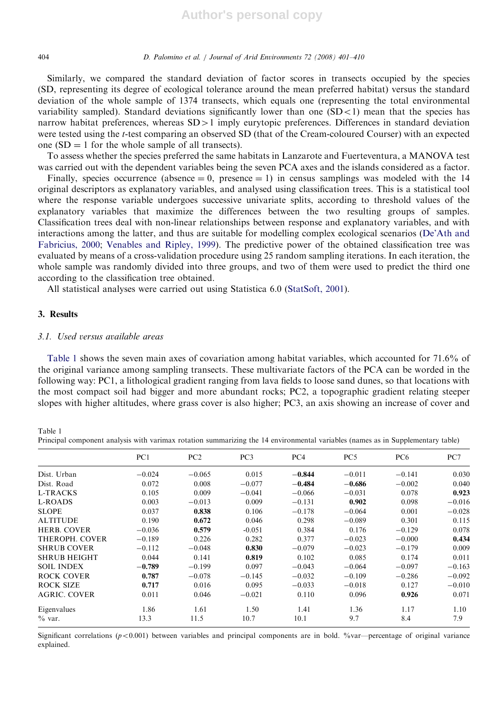#### 404 D. Palomino et al. / Journal of Arid Environments 72 (2008) 401–410

Similarly, we compared the standard deviation of factor scores in transects occupied by the species (SD, representing its degree of ecological tolerance around the mean preferred habitat) versus the standard deviation of the whole sample of 1374 transects, which equals one (representing the total environmental variability sampled). Standard deviations significantly lower than one  $(SD<1)$  mean that the species has narrow habitat preferences, whereas  $SD>1$  imply eurytopic preferences. Differences in standard deviation were tested using the t-test comparing an observed SD (that of the Cream-coloured Courser) with an expected one  $SD = 1$  for the whole sample of all transects).

To assess whether the species preferred the same habitats in Lanzarote and Fuerteventura, a MANOVA test was carried out with the dependent variables being the seven PCA axes and the islands considered as a factor.

Finally, species occurrence (absence  $= 0$ , presence  $= 1$ ) in census samplings was modeled with the 14 original descriptors as explanatory variables, and analysed using classification trees. This is a statistical tool where the response variable undergoes successive univariate splits, according to threshold values of the explanatory variables that maximize the differences between the two resulting groups of samples. Classification trees deal with non-linear relationships between response and explanatory variables, and with interactions among the latter, and thus are suitable for modelling complex ecological scenarios (De'Ath and Fabricius, 2000; Venables and Ripley, 1999). The predictive power of the obtained classification tree was evaluated by means of a cross-validation procedure using 25 random sampling iterations. In each iteration, the whole sample was randomly divided into three groups, and two of them were used to predict the third one according to the classification tree obtained.

All statistical analyses were carried out using Statistica 6.0 (StatSoft, 2001).

### 3. Results

#### 3.1. Used versus available areas

Table 1 shows the seven main axes of covariation among habitat variables, which accounted for 71.6% of the original variance among sampling transects. These multivariate factors of the PCA can be worded in the following way: PC1, a lithological gradient ranging from lava fields to loose sand dunes, so that locations with the most compact soil had bigger and more abundant rocks; PC2, a topographic gradient relating steeper slopes with higher altitudes, where grass cover is also higher; PC3, an axis showing an increase of cover and

Table 1 Principal component analysis with varimax rotation summarizing the 14 environmental variables (names as in Supplementary table)

|                     | PC1      | PC2      | PC <sub>3</sub> | PC <sub>4</sub> | PC <sub>5</sub> | PC <sub>6</sub> | PC7      |
|---------------------|----------|----------|-----------------|-----------------|-----------------|-----------------|----------|
| Dist. Urban         | $-0.024$ | $-0.065$ | 0.015           | $-0.844$        | $-0.011$        | $-0.141$        | 0.030    |
| Dist. Road          | 0.072    | 0.008    | $-0.077$        | $-0.484$        | $-0.686$        | $-0.002$        | 0.040    |
| <b>L-TRACKS</b>     | 0.105    | 0.009    | $-0.041$        | $-0.066$        | $-0.031$        | 0.078           | 0.923    |
| L-ROADS             | 0.003    | $-0.013$ | 0.009           | $-0.131$        | 0.902           | 0.098           | $-0.016$ |
| <b>SLOPE</b>        | 0.037    | 0.838    | 0.106           | $-0.178$        | $-0.064$        | 0.001           | $-0.028$ |
| <b>ALTITUDE</b>     | 0.190    | 0.672    | 0.046           | 0.298           | $-0.089$        | 0.301           | 0.115    |
| <b>HERB. COVER</b>  | $-0.036$ | 0.579    | $-0.051$        | 0.384           | 0.176           | $-0.129$        | 0.078    |
| THEROPH, COVER      | $-0.189$ | 0.226    | 0.282           | 0.377           | $-0.023$        | $-0.000$        | 0.434    |
| <b>SHRUB COVER</b>  | $-0.112$ | $-0.048$ | 0.830           | $-0.079$        | $-0.023$        | $-0.179$        | 0.009    |
| <b>SHRUB HEIGHT</b> | 0.044    | 0.141    | 0.819           | 0.102           | 0.085           | 0.174           | 0.011    |
| <b>SOIL INDEX</b>   | $-0.789$ | $-0.199$ | 0.097           | $-0.043$        | $-0.064$        | $-0.097$        | $-0.163$ |
| ROCK COVER          | 0.787    | $-0.078$ | $-0.145$        | $-0.032$        | $-0.109$        | $-0.286$        | $-0.092$ |
| ROCK SIZE           | 0.717    | 0.016    | 0.095           | $-0.033$        | $-0.018$        | 0.127           | $-0.010$ |
| <b>AGRIC. COVER</b> | 0.011    | 0.046    | $-0.021$        | 0.110           | 0.096           | 0.926           | 0.071    |
| Eigenvalues         | 1.86     | 1.61     | 1.50            | 1.41            | 1.36            | 1.17            | 1.10     |
| $\%$ var.           | 13.3     | 11.5     | 10.7            | 10.1            | 9.7             | 8.4             | 7.9      |

Significant correlations ( $p < 0.001$ ) between variables and principal components are in bold. %var—percentage of original variance explained.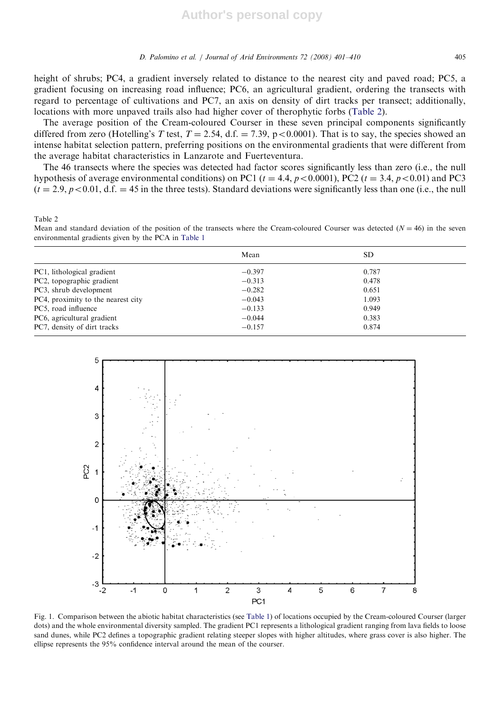height of shrubs; PC4, a gradient inversely related to distance to the nearest city and paved road; PC5, a gradient focusing on increasing road influence; PC6, an agricultural gradient, ordering the transects with regard to percentage of cultivations and PC7, an axis on density of dirt tracks per transect; additionally, locations with more unpaved trails also had higher cover of therophytic forbs (Table 2).

The average position of the Cream-coloured Courser in these seven principal components significantly differed from zero (Hotelling's T test,  $T = 2.54$ , d.f. = 7.39, p < 0.0001). That is to say, the species showed an intense habitat selection pattern, preferring positions on the environmental gradients that were different from the average habitat characteristics in Lanzarote and Fuerteventura.

The 46 transects where the species was detected had factor scores significantly less than zero (i.e., the null hypothesis of average environmental conditions) on PC1 ( $t = 4.4$ ,  $p < 0.0001$ ), PC2 ( $t = 3.4$ ,  $p < 0.01$ ) and PC3  $(t = 2.9, p < 0.01, d.f. = 45$  in the three tests). Standard deviations were significantly less than one (i.e., the null

Table 2

Mean and standard deviation of the position of the transects where the Cream-coloured Courser was detected  $(N = 46)$  in the seven environmental gradients given by the PCA in Table 1

|                                    | Mean     | SD.   |  |
|------------------------------------|----------|-------|--|
| PC1, lithological gradient         | $-0.397$ | 0.787 |  |
| PC2, topographic gradient          | $-0.313$ | 0.478 |  |
| PC3, shrub development             | $-0.282$ | 0.651 |  |
| PC4, proximity to the nearest city | $-0.043$ | 1.093 |  |
| PC5, road influence                | $-0.133$ | 0.949 |  |
| PC6, agricultural gradient         | $-0.044$ | 0.383 |  |
| PC7, density of dirt tracks        | $-0.157$ | 0.874 |  |



Fig. 1. Comparison between the abiotic habitat characteristics (see Table 1) of locations occupied by the Cream-coloured Courser (larger dots) and the whole environmental diversity sampled. The gradient PC1 represents a lithological gradient ranging from lava fields to loose sand dunes, while PC2 defines a topographic gradient relating steeper slopes with higher altitudes, where grass cover is also higher. The ellipse represents the 95% confidence interval around the mean of the courser.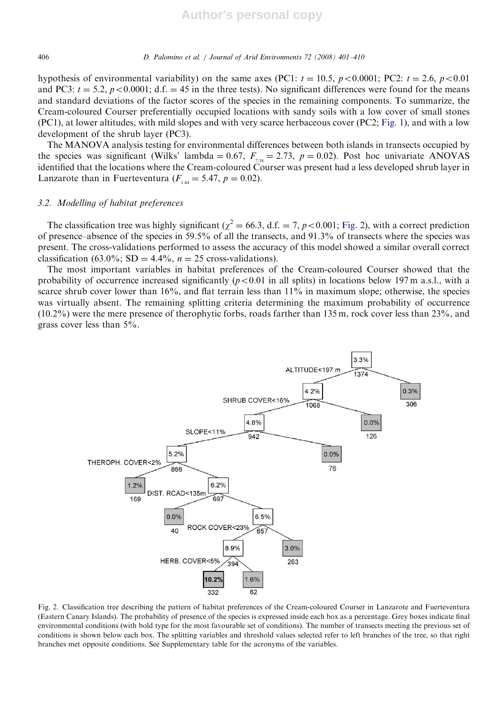406 D. Palomino et al. / Journal of Arid Environments 72 (2008) 401–410

hypothesis of environmental variability) on the same axes (PC1:  $t = 10.5$ ,  $p < 0.0001$ ; PC2:  $t = 2.6$ ,  $p < 0.01$ and PC3:  $t = 5.2$ ,  $p < 0.0001$ ; d.f. = 45 in the three tests). No significant differences were found for the means and standard deviations of the factor scores of the species in the remaining components. To summarize, the Cream-coloured Courser preferentially occupied locations with sandy soils with a low cover of small stones (PC1), at lower altitudes, with mild slopes and with very scarce herbaceous cover (PC2; Fig. 1), and with a low development of the shrub layer (PC3).

The MANOVA analysis testing for environmental differences between both islands in transects occupied by the species was significant (Wilks' lambda = 0.67,  $F_{7,38} = 2.73$ ,  $p = 0.02$ ). Post hoc univariate ANOVAS identified that the locations where the Cream-coloured Courser was present had a less developed shrub layer in Lanzarote than in Fuerteventura ( $F_{1,44} = 5.47$ ,  $p = 0.02$ ).

## 3.2. Modelling of habitat preferences

The classification tree was highly significant ( $\chi^2 = 66.3$ , d.f. = 7, p < 0.001; Fig. 2), with a correct prediction of presence–absence of the species in 59.5% of all the transects, and 91.3% of transects where the species was present. The cross-validations performed to assess the accuracy of this model showed a similar overall correct classification (63.0%; SD = 4.4%,  $n = 25$  cross-validations).

The most important variables in habitat preferences of the Cream-coloured Courser showed that the probability of occurrence increased significantly ( $p < 0.01$  in all splits) in locations below 197 m a.s.l., with a scarce shrub cover lower than 16%, and flat terrain less than 11% in maximum slope; otherwise, the species was virtually absent. The remaining splitting criteria determining the maximum probability of occurrence (10.2%) were the mere presence of therophytic forbs, roads farther than 135 m, rock cover less than 23%, and grass cover less than 5%.



Fig. 2. Classification tree describing the pattern of habitat preferences of the Cream-coloured Courser in Lanzarote and Fuerteventura (Eastern Canary Islands). The probability of presence of the species is expressed inside each box as a percentage. Grey boxes indicate final environmental conditions (with bold type for the most favourable set of conditions). The number of transects meeting the previous set of conditions is shown below each box. The splitting variables and threshold values selected refer to left branches of the tree, so that right branches met opposite conditions. See Supplementary table for the acronyms of the variables.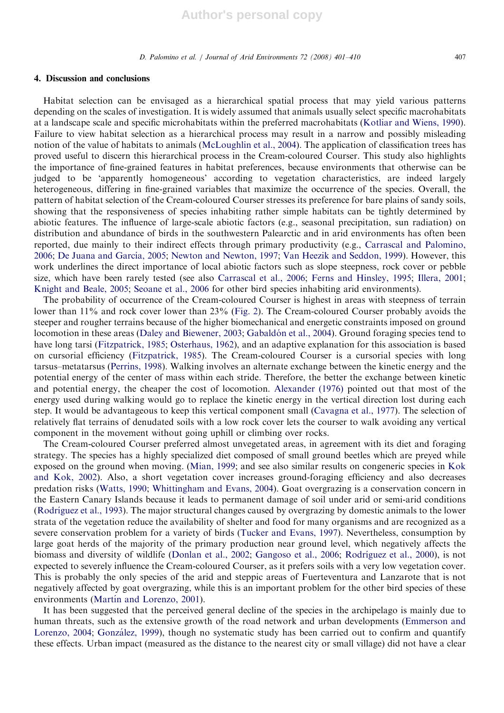#### 4. Discussion and conclusions

Habitat selection can be envisaged as a hierarchical spatial process that may yield various patterns depending on the scales of investigation. It is widely assumed that animals usually select specific macrohabitats at a landscape scale and specific microhabitats within the preferred macrohabitats (Kotliar and Wiens, 1990). Failure to view habitat selection as a hierarchical process may result in a narrow and possibly misleading notion of the value of habitats to animals (McLoughlin et al., 2004). The application of classification trees has proved useful to discern this hierarchical process in the Cream-coloured Courser. This study also highlights the importance of fine-grained features in habitat preferences, because environments that otherwise can be judged to be 'apparently homogeneous' according to vegetation characteristics, are indeed largely heterogeneous, differing in fine-grained variables that maximize the occurrence of the species. Overall, the pattern of habitat selection of the Cream-coloured Courser stresses its preference for bare plains of sandy soils, showing that the responsiveness of species inhabiting rather simple habitats can be tightly determined by abiotic features. The influence of large-scale abiotic factors (e.g., seasonal precipitation, sun radiation) on distribution and abundance of birds in the southwestern Palearctic and in arid environments has often been reported, due mainly to their indirect effects through primary productivity (e.g., Carrascal and Palomino, 2006; De Juana and García, 2005; Newton and Newton, 1997; Van Heezik and Seddon, 1999). However, this work underlines the direct importance of local abiotic factors such as slope steepness, rock cover or pebble size, which have been rarely tested (see also Carrascal et al., 2006; Ferns and Hinsley, 1995; Illera, 2001; Knight and Beale, 2005; Seoane et al., 2006 for other bird species inhabiting arid environments).

The probability of occurrence of the Cream-coloured Courser is highest in areas with steepness of terrain lower than 11% and rock cover lower than 23% (Fig. 2). The Cream-coloured Courser probably avoids the steeper and rougher terrains because of the higher biomechanical and energetic constraints imposed on ground locomotion in these areas (Daley and Biewener, 2003; Gabaldón et al., 2004). Ground foraging species tend to have long tarsi (Fitzpatrick, 1985; Osterhaus, 1962), and an adaptive explanation for this association is based on cursorial efficiency (Fitzpatrick, 1985). The Cream-coloured Courser is a cursorial species with long tarsus–metatarsus (Perrins, 1998). Walking involves an alternate exchange between the kinetic energy and the potential energy of the center of mass within each stride. Therefore, the better the exchange between kinetic and potential energy, the cheaper the cost of locomotion. Alexander (1976) pointed out that most of the energy used during walking would go to replace the kinetic energy in the vertical direction lost during each step. It would be advantageous to keep this vertical component small (Cavagna et al., 1977). The selection of relatively flat terrains of denudated soils with a low rock cover lets the courser to walk avoiding any vertical component in the movement without going uphill or climbing over rocks.

The Cream-coloured Courser preferred almost unvegetated areas, in agreement with its diet and foraging strategy. The species has a highly specialized diet composed of small ground beetles which are preyed while exposed on the ground when moving. (Mian, 1999; and see also similar results on congeneric species in Kok and Kok, 2002). Also, a short vegetation cover increases ground-foraging efficiency and also decreases predation risks (Watts, 1990; Whittingham and Evans, 2004). Goat overgrazing is a conservation concern in the Eastern Canary Islands because it leads to permanent damage of soil under arid or semi-arid conditions (Rodríguez et al., 1993). The major structural changes caused by overgrazing by domestic animals to the lower strata of the vegetation reduce the availability of shelter and food for many organisms and are recognized as a severe conservation problem for a variety of birds (Tucker and Evans, 1997). Nevertheless, consumption by large goat herds of the majority of the primary production near ground level, which negatively affects the biomass and diversity of wildlife (Donlan et al., 2002; Gangoso et al., 2006; Rodríguez et al., 2000), is not expected to severely influence the Cream-coloured Courser, as it prefers soils with a very low vegetation cover. This is probably the only species of the arid and steppic areas of Fuerteventura and Lanzarote that is not negatively affected by goat overgrazing, while this is an important problem for the other bird species of these environments (Martín and Lorenzo, 2001).

It has been suggested that the perceived general decline of the species in the archipelago is mainly due to human threats, such as the extensive growth of the road network and urban developments (Emmerson and Lorenzo, 2004; González, 1999), though no systematic study has been carried out to confirm and quantify these effects. Urban impact (measured as the distance to the nearest city or small village) did not have a clear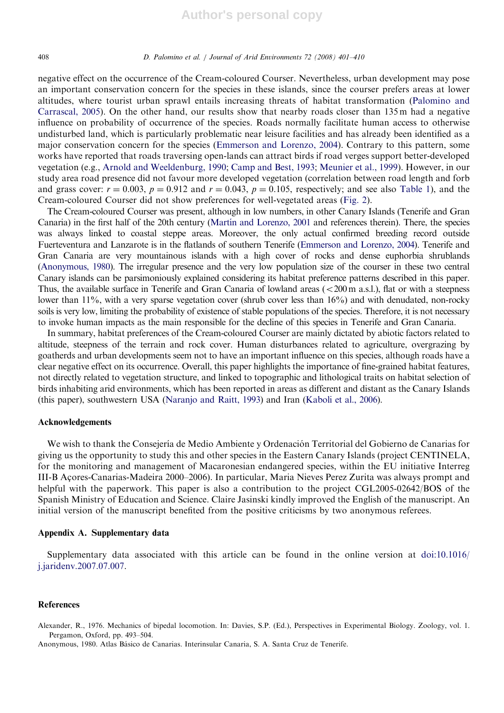408 D. Palomino et al. / Journal of Arid Environments 72 (2008) 401–410

negative effect on the occurrence of the Cream-coloured Courser. Nevertheless, urban development may pose an important conservation concern for the species in these islands, since the courser prefers areas at lower altitudes, where tourist urban sprawl entails increasing threats of habitat transformation (Palomino and Carrascal, 2005). On the other hand, our results show that nearby roads closer than 135 m had a negative influence on probability of occurrence of the species. Roads normally facilitate human access to otherwise undisturbed land, which is particularly problematic near leisure facilities and has already been identified as a major conservation concern for the species (Emmerson and Lorenzo, 2004). Contrary to this pattern, some works have reported that roads traversing open-lands can attract birds if road verges support better-developed vegetation (e.g., Arnold and Weeldenburg, 1990; Camp and Best, 1993; Meunier et al., 1999). However, in our study area road presence did not favour more developed vegetation (correlation between road length and forb and grass cover:  $r = 0.003$ ,  $p = 0.912$  and  $r = 0.043$ ,  $p = 0.105$ , respectively; and see also Table 1), and the Cream-coloured Courser did not show preferences for well-vegetated areas (Fig. 2).

The Cream-coloured Courser was present, although in low numbers, in other Canary Islands (Tenerife and Gran Canaria) in the first half of the 20th century (Martı´n and Lorenzo, 2001 and references therein). There, the species was always linked to coastal steppe areas. Moreover, the only actual confirmed breeding record outside Fuerteventura and Lanzarote is in the flatlands of southern Tenerife (Emmerson and Lorenzo, 2004). Tenerife and Gran Canaria are very mountainous islands with a high cover of rocks and dense euphorbia shrublands (Anonymous, 1980). The irregular presence and the very low population size of the courser in these two central Canary islands can be parsimoniously explained considering its habitat preference patterns described in this paper. Thus, the available surface in Tenerife and Gran Canaria of lowland areas  $( $200 \text{ m a.s.}$ ), flat or with a steepness$ lower than 11%, with a very sparse vegetation cover (shrub cover less than 16%) and with denudated, non-rocky soils is very low, limiting the probability of existence of stable populations of the species. Therefore, it is not necessary to invoke human impacts as the main responsible for the decline of this species in Tenerife and Gran Canaria.

In summary, habitat preferences of the Cream-coloured Courser are mainly dictated by abiotic factors related to altitude, steepness of the terrain and rock cover. Human disturbances related to agriculture, overgrazing by goatherds and urban developments seem not to have an important influence on this species, although roads have a clear negative effect on its occurrence. Overall, this paper highlights the importance of fine-grained habitat features, not directly related to vegetation structure, and linked to topographic and lithological traits on habitat selection of birds inhabiting arid environments, which has been reported in areas as different and distant as the Canary Islands (this paper), southwestern USA (Naranjo and Raitt, 1993) and Iran (Kaboli et al., 2006).

#### Acknowledgements

We wish to thank the Consejería de Medio Ambiente y Ordenación Territorial del Gobierno de Canarias for giving us the opportunity to study this and other species in the Eastern Canary Islands (project CENTINELA, for the monitoring and management of Macaronesian endangered species, within the EU initiative Interreg III-B Acores-Canarias-Madeira 2000–2006). In particular, Maria Nieves Perez Zurita was always prompt and helpful with the paperwork. This paper is also a contribution to the project CGL2005-02642/BOS of the Spanish Ministry of Education and Science. Claire Jasinski kindly improved the English of the manuscript. An initial version of the manuscript benefited from the positive criticisms by two anonymous referees.

## Appendix A. Supplementary data

Supplementary data associated with this article can be found in the online version at doi:10.1016/ j.jaridenv.2007.07.007.

## **References**

Alexander, R., 1976. Mechanics of bipedal locomotion. In: Davies, S.P. (Ed.), Perspectives in Experimental Biology. Zoology, vol. 1. Pergamon, Oxford, pp. 493–504.

Anonymous, 1980. Atlas Ba´sico de Canarias. Interinsular Canaria, S. A. Santa Cruz de Tenerife.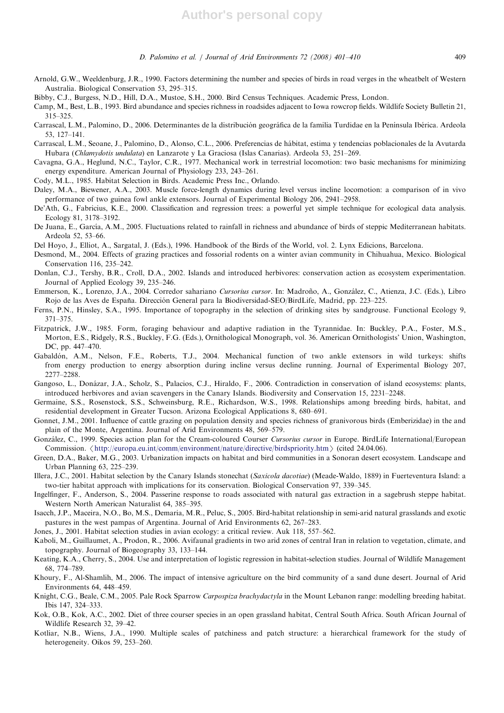- Arnold, G.W., Weeldenburg, J.R., 1990. Factors determining the number and species of birds in road verges in the wheatbelt of Western Australia. Biological Conservation 53, 295–315.
- Bibby, C.J., Burgess, N.D., Hill, D.A., Mustoe, S.H., 2000. Bird Census Techniques. Academic Press, London.
- Camp, M., Best, L.B., 1993. Bird abundance and species richness in roadsides adjacent to Iowa rowcrop fields. Wildlife Society Bulletin 21, 315–325.
- Carrascal, L.M., Palomino, D., 2006. Determinantes de la distribución geográfica de la familia Turdidae en la Península Ibérica. Ardeola 53, 127–141.
- Carrascal, L.M., Seoane, J., Palomino, D., Alonso, C.L., 2006. Preferencias de ha´bitat, estima y tendencias poblacionales de la Avutarda Hubara (Chlamydotis undulata) en Lanzarote y La Graciosa (Islas Canarias). Ardeola 53, 251–269.
- Cavagna, G.A., Heglund, N.C., Taylor, C.R., 1977. Mechanical work in terrestrial locomotion: two basic mechanisms for minimizing energy expenditure. American Journal of Physiology 233, 243–261.
- Cody, M.L., 1985. Habitat Selection in Birds. Academic Press Inc., Orlando.
- Daley, M.A., Biewener, A.A., 2003. Muscle force-length dynamics during level versus incline locomotion: a comparison of in vivo performance of two guinea fowl ankle extensors. Journal of Experimental Biology 206, 2941–2958.
- De'Ath, G., Fabricius, K.E., 2000. Classification and regression trees: a powerful yet simple technique for ecological data analysis. Ecology 81, 3178–3192.
- De Juana, E., García, A.M., 2005. Fluctuations related to rainfall in richness and abundance of birds of steppic Mediterranean habitats. Ardeola 52, 53–66.
- Del Hoyo, J., Elliot, A., Sargatal, J. (Eds.), 1996. Handbook of the Birds of the World, vol. 2. Lynx Edicions, Barcelona.
- Desmond, M., 2004. Effects of grazing practices and fossorial rodents on a winter avian community in Chihuahua, Mexico. Biological Conservation 116, 235–242.
- Donlan, C.J., Tershy, B.R., Croll, D.A., 2002. Islands and introduced herbivores: conservation action as ecosystem experimentation. Journal of Applied Ecology 39, 235–246.
- Emmerson, K., Lorenzo, J.A., 2004. Corredor sahariano Cursorius cursor. In: Madroño, A., González, C., Atienza, J.C. (Eds.), Libro Rojo de las Aves de España. Dirección General para la Biodiversidad-SEO/BirdLife, Madrid, pp. 223–225.
- Ferns, P.N., Hinsley, S.A., 1995. Importance of topography in the selection of drinking sites by sandgrouse. Functional Ecology 9, 371–375.
- Fitzpatrick, J.W., 1985. Form, foraging behaviour and adaptive radiation in the Tyrannidae. In: Buckley, P.A., Foster, M.S., Morton, E.S., Ridgely, R.S., Buckley, F.G. (Eds.), Ornithological Monograph, vol. 36. American Ornithologists' Union, Washington, DC, pp. 447–470.
- Gabaldón, A.M., Nelson, F.E., Roberts, T.J., 2004. Mechanical function of two ankle extensors in wild turkeys: shifts from energy production to energy absorption during incline versus decline running. Journal of Experimental Biology 207, 2277–2288.
- Gangoso, L., Donázar, J.A., Scholz, S., Palacios, C.J., Hiraldo, F., 2006. Contradiction in conservation of island ecosystems: plants, introduced herbivores and avian scavengers in the Canary Islands. Biodiversity and Conservation 15, 2231–2248.
- Germaine, S.S., Rosenstock, S.S., Schweinsburg, R.E., Richardson, W.S., 1998. Relationships among breeding birds, habitat, and residential development in Greater Tucson. Arizona Ecological Applications 8, 680–691.
- Gonnet, J.M., 2001. Influence of cattle grazing on population density and species richness of granivorous birds (Emberizidae) in the and plain of the Monte, Argentina. Journal of Arid Environments 48, 569–579.
- González, C., 1999. Species action plan for the Cream-coloured Courser Cursorius cursor in Europe. BirdLife International/European Commission.  $\langle$ http://europa.eu.int/comm/environment/nature/directive/birdspriority.htm  $\rangle$  (cited 24.04.06).
- Green, D.A., Baker, M.G., 2003. Urbanization impacts on habitat and bird communities in a Sonoran desert ecosystem. Landscape and Urban Planning 63, 225–239.
- Illera, J.C., 2001. Habitat selection by the Canary Islands stonechat (Saxicola dacotiae) (Meade-Waldo, 1889) in Fuerteventura Island: a two-tier habitat approach with implications for its conservation. Biological Conservation 97, 339–345.
- Ingelfinger, F., Anderson, S., 2004. Passerine response to roads associated with natural gas extraction in a sagebrush steppe habitat. Western North American Naturalist 64, 385–395.
- Isacch, J.P., Maceira, N.O., Bo, M.S., Demaria, M.R., Peluc, S., 2005. Bird-habitat relationship in semi-arid natural grasslands and exotic pastures in the west pampas of Argentina. Journal of Arid Environments 62, 267–283.
- Jones, J., 2001. Habitat selection studies in avian ecology: a critical review. Auk 118, 557–562.
- Kaboli, M., Guillaumet, A., Prodon, R., 2006. Avifaunal gradients in two arid zones of central Iran in relation to vegetation, climate, and topography. Journal of Biogeography 33, 133–144.
- Keating, K.A., Cherry, S., 2004. Use and interpretation of logistic regression in habitat-selection studies. Journal of Wildlife Management 68, 774–789.
- Khoury, F., Al-Shamlih, M., 2006. The impact of intensive agriculture on the bird community of a sand dune desert. Journal of Arid Environments 64, 448–459.
- Knight, C.G., Beale, C.M., 2005. Pale Rock Sparrow Carpospiza brachydactyla in the Mount Lebanon range: modelling breeding habitat. Ibis 147, 324–333.
- Kok, O.B., Kok, A.C., 2002. Diet of three courser species in an open grassland habitat, Central South Africa. South African Journal of Wildlife Research 32, 39–42.
- Kotliar, N.B., Wiens, J.A., 1990. Multiple scales of patchiness and patch structure: a hierarchical framework for the study of heterogeneity. Oikos 59, 253–260.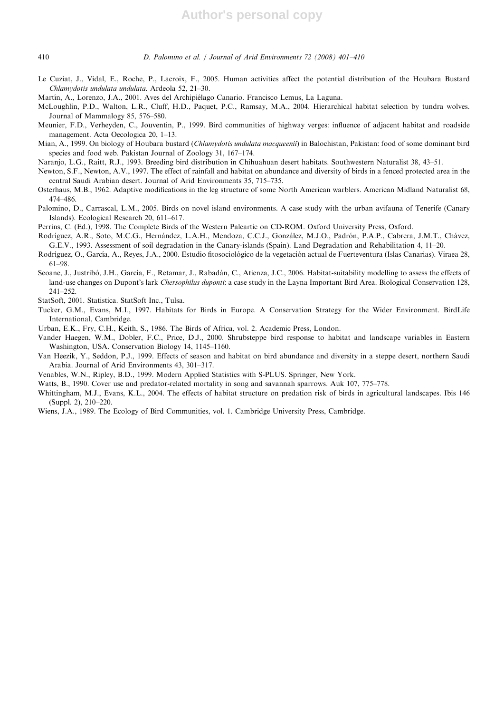- Le Cuziat, J., Vidal, E., Roche, P., Lacroix, F., 2005. Human activities affect the potential distribution of the Houbara Bustard Chlamydotis undulata undulata. Ardeola 52, 21–30.
- Martín, A., Lorenzo, J.A., 2001. Aves del Archipiélago Canario. Francisco Lemus, La Laguna.
- McLoughlin, P.D., Walton, L.R., Cluff, H.D., Paquet, P.C., Ramsay, M.A., 2004. Hierarchical habitat selection by tundra wolves. Journal of Mammalogy 85, 576–580.
- Meunier, F.D., Verheyden, C., Jouventin, P., 1999. Bird communities of highway verges: influence of adjacent habitat and roadside management. Acta Oecologica 20, 1–13.
- Mian, A., 1999. On biology of Houbara bustard (Chlamydotis undulata macqueenii) in Balochistan, Pakistan: food of some dominant bird species and food web. Pakistan Journal of Zoology 31, 167–174.
- Naranjo, L.G., Raitt, R.J., 1993. Breeding bird distribution in Chihuahuan desert habitats. Southwestern Naturalist 38, 43–51.
- Newton, S.F., Newton, A.V., 1997. The effect of rainfall and habitat on abundance and diversity of birds in a fenced protected area in the central Saudi Arabian desert. Journal of Arid Environments 35, 715–735.
- Osterhaus, M.B., 1962. Adaptive modifications in the leg structure of some North American warblers. American Midland Naturalist 68, 474–486.
- Palomino, D., Carrascal, L.M., 2005. Birds on novel island environments. A case study with the urban avifauna of Tenerife (Canary Islands). Ecological Research 20, 611–617.
- Perrins, C. (Ed.), 1998. The Complete Birds of the Western Paleartic on CD-ROM. Oxford University Press, Oxford.
- Rodríguez, A.R., Soto, M.C.G., Hernández, L.A.H., Mendoza, C.C.J., González, M.J.O., Padrón, P.A.P., Cabrera, J.M.T., Chávez, G.E.V., 1993. Assessment of soil degradation in the Canary-islands (Spain). Land Degradation and Rehabilitation 4, 11–20.
- Rodríguez, O., García, A., Reyes, J.A., 2000. Estudio fitosociológico de la vegetación actual de Fuerteventura (Islas Canarias). Viraea 28, 61–98.
- Seoane, J., Justribó, J.H., García, F., Retamar, J., Rabadán, C., Atienza, J.C., 2006. Habitat-suitability modelling to assess the effects of land-use changes on Dupont's lark Chersophilus duponti: a case study in the Layna Important Bird Area. Biological Conservation 128, 241–252.
- StatSoft, 2001. Statistica. StatSoft Inc., Tulsa.
- Tucker, G.M., Evans, M.I., 1997. Habitats for Birds in Europe. A Conservation Strategy for the Wider Environment. BirdLife International, Cambridge.
- Urban, E.K., Fry, C.H., Keith, S., 1986. The Birds of Africa, vol. 2. Academic Press, London.
- Vander Haegen, W.M., Dobler, F.C., Price, D.J., 2000. Shrubsteppe bird response to habitat and landscape variables in Eastern Washington, USA. Conservation Biology 14, 1145–1160.
- Van Heezik, Y., Seddon, P.J., 1999. Effects of season and habitat on bird abundance and diversity in a steppe desert, northern Saudi Arabia. Journal of Arid Environments 43, 301–317.
- Venables, W.N., Ripley, B.D., 1999. Modern Applied Statistics with S-PLUS. Springer, New York.
- Watts, B., 1990. Cover use and predator-related mortality in song and savannah sparrows. Auk 107, 775–778.
- Whittingham, M.J., Evans, K.L., 2004. The effects of habitat structure on predation risk of birds in agricultural landscapes. Ibis 146 (Suppl. 2), 210–220.
- Wiens, J.A., 1989. The Ecology of Bird Communities, vol. 1. Cambridge University Press, Cambridge.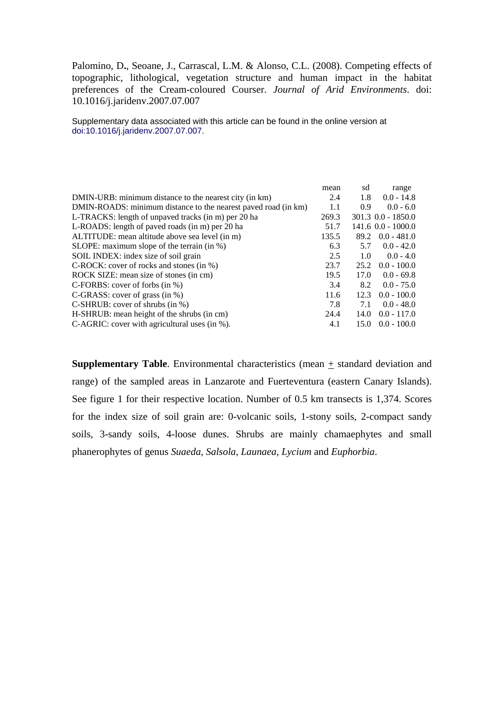Palomino, D**.**, Seoane, J., Carrascal, L.M. & Alonso, C.L. (2008). Competing effects of topographic, lithological, vegetation structure and human impact in the habitat preferences of the Cream-coloured Courser. *Journal of Arid Environments*. doi: 10.1016/j.jaridenv.2007.07.007

Supplementary data associated with this article can be found in the online version at doi:10.1016/j.jaridenv.2007.07.007.

|                                                                | mean  | sd   | range                |
|----------------------------------------------------------------|-------|------|----------------------|
| DMIN-URB: minimum distance to the nearest city (in km)         | 2.4   | 1.8  | $0.0 - 14.8$         |
| DMIN-ROADS: minimum distance to the nearest payed road (in km) | 1.1   | 0.9  | $0.0 - 6.0$          |
| L-TRACKS: length of unpaved tracks (in m) per 20 ha            | 269.3 |      | $301.3$ 0.0 - 1850.0 |
| L-ROADS: length of paved roads (in m) per 20 ha                | 51.7  |      | $141.6$ 0.0 - 1000.0 |
| ALTITUDE: mean altitude above sea level (in m)                 | 135.5 | 89.2 | $0.0 - 481.0$        |
| SLOPE: maximum slope of the terrain $(in %)$                   | 6.3   | 5.7  | $0.0 - 42.0$         |
| SOIL INDEX: index size of soil grain                           | 2.5   | 1.0  | $0.0 - 4.0$          |
| $C\text{-ROCK: cover of rocks and stones (in %)}$              | 23.7  | 25.2 | $0.0 - 100.0$        |
| ROCK SIZE: mean size of stones (in cm)                         | 19.5  | 17.0 | $0.0 - 69.8$         |
| $C$ -FORBS: cover of forbs (in %)                              | 3.4   | 8.2  | $0.0 - 75.0$         |
| C-GRASS: cover of grass (in $\%$ )                             | 11.6  | 12.3 | $0.0 - 100.0$        |
| C-SHRUB: cover of shrubs $(in %)$                              | 7.8   | 7.1  | $0.0 - 48.0$         |
| H-SHRUB: mean height of the shrubs (in cm)                     | 24.4  | 14.0 | $0.0 - 117.0$        |
| C-AGRIC: cover with agricultural uses (in %).                  | 4.1   | 15.0 | $0.0 - 100.0$        |

**Supplementary Table**. Environmental characteristics (mean  $+$  standard deviation and range) of the sampled areas in Lanzarote and Fuerteventura (eastern Canary Islands). See figure 1 for their respective location. Number of 0.5 km transects is 1,374. Scores for the index size of soil grain are: 0-volcanic soils, 1-stony soils, 2-compact sandy soils, 3-sandy soils, 4-loose dunes. Shrubs are mainly chamaephytes and small phanerophytes of genus *Suaeda*, *Salsola*, *Launaea*, *Lycium* and *Euphorbia*.